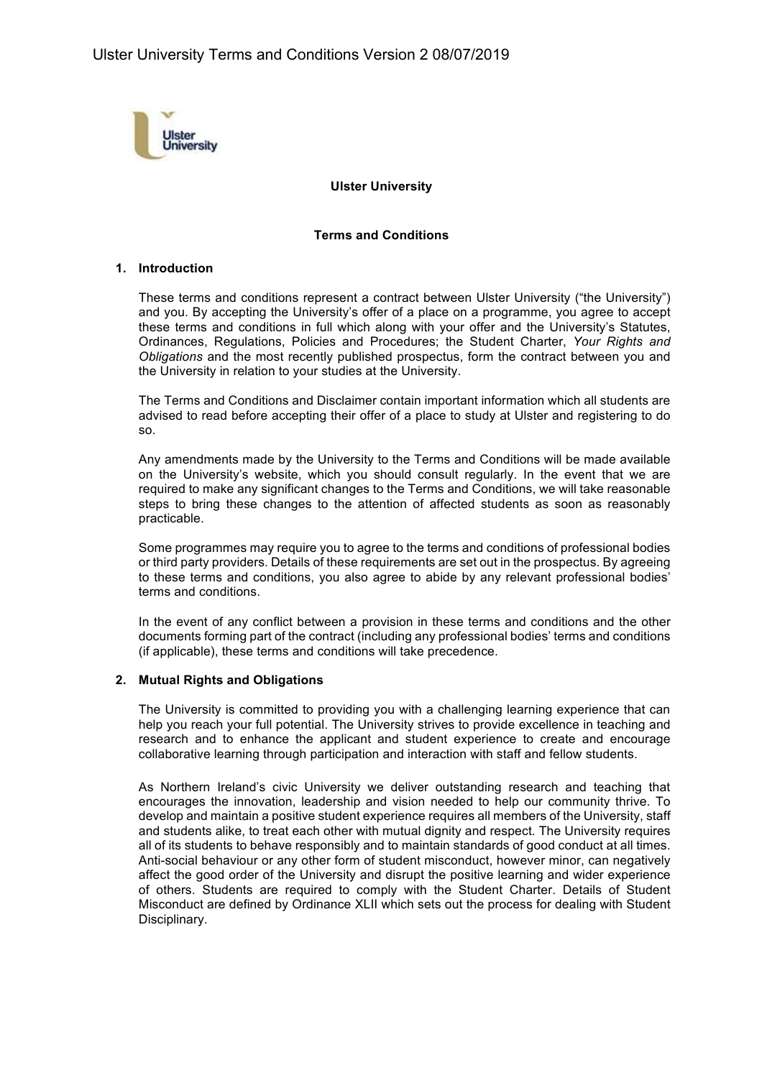

## **Ulster University**

### **Terms and Conditions**

## **1. Introduction**

These terms and conditions represent a contract between Ulster University ("the University") and you. By accepting the University's offer of a place on a programme, you agree to accept these terms and conditions in full which along with your offer and the University's Statutes, Ordinances, Regulations, Policies and Procedures; the Student Charter, *Your Rights and Obligations* and the most recently published prospectus, form the contract between you and the University in relation to your studies at the University.

The Terms and Conditions and Disclaimer contain important information which all students are advised to read before accepting their offer of a place to study at Ulster and registering to do so.

Any amendments made by the University to the Terms and Conditions will be made available on the University's website, which you should consult regularly. In the event that we are required to make any significant changes to the Terms and Conditions, we will take reasonable steps to bring these changes to the attention of affected students as soon as reasonably practicable.

Some programmes may require you to agree to the terms and conditions of professional bodies or third party providers. Details of these requirements are set out in the prospectus. By agreeing to these terms and conditions, you also agree to abide by any relevant professional bodies' terms and conditions.

In the event of any conflict between a provision in these terms and conditions and the other documents forming part of the contract (including any professional bodies' terms and conditions (if applicable), these terms and conditions will take precedence.

### **2. Mutual Rights and Obligations**

The University is committed to providing you with a challenging learning experience that can help you reach your full potential. The University strives to provide excellence in teaching and research and to enhance the applicant and student experience to create and encourage collaborative learning through participation and interaction with staff and fellow students.

As Northern Ireland's civic University we deliver outstanding research and teaching that encourages the innovation, leadership and vision needed to help our community thrive. To develop and maintain a positive student experience requires all members of the University, staff and students alike, to treat each other with mutual dignity and respect. The University requires all of its students to behave responsibly and to maintain standards of good conduct at all times. Anti-social behaviour or any other form of student misconduct, however minor, can negatively affect the good order of the University and disrupt the positive learning and wider experience of others. Students are required to comply with the Student Charter. Details of Student Misconduct are defined by Ordinance XLII which sets out the process for dealing with Student Disciplinary.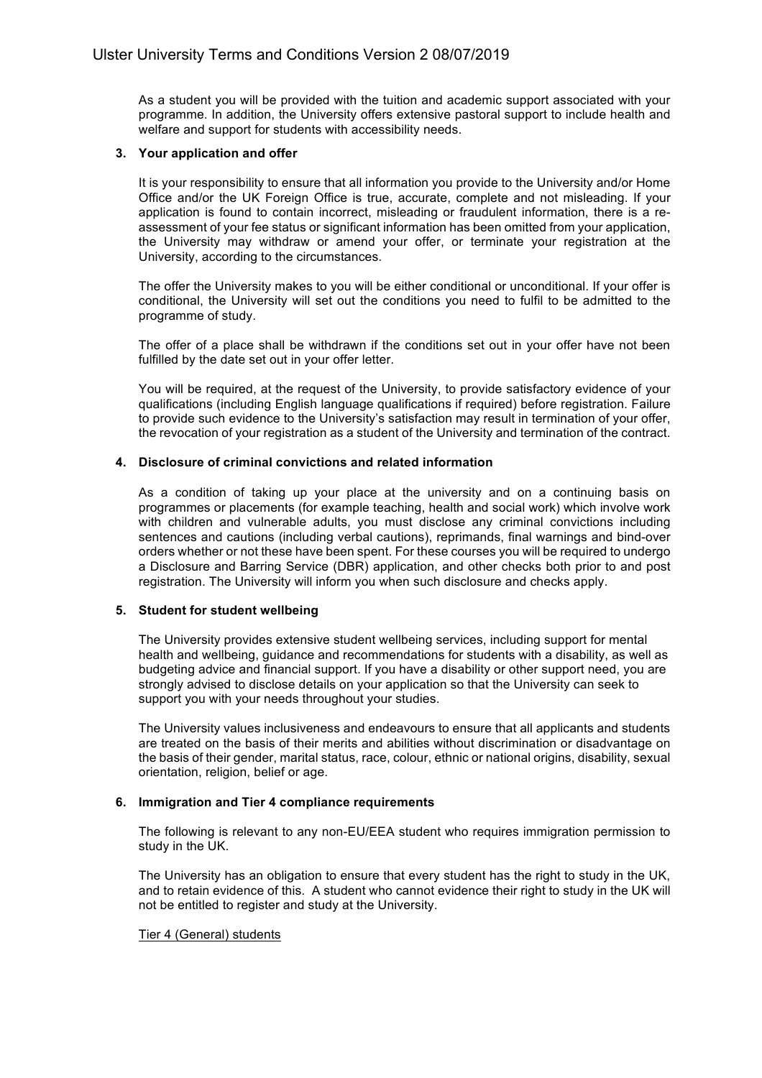As a student you will be provided with the tuition and academic support associated with your programme. In addition, the University offers extensive pastoral support to include health and welfare and support for students with accessibility needs.

## **3. Your application and offer**

It is your responsibility to ensure that all information you provide to the University and/or Home Office and/or the UK Foreign Office is true, accurate, complete and not misleading. If your application is found to contain incorrect, misleading or fraudulent information, there is a reassessment of your fee status or significant information has been omitted from your application, the University may withdraw or amend your offer, or terminate your registration at the University, according to the circumstances.

The offer the University makes to you will be either conditional or unconditional. If your offer is conditional, the University will set out the conditions you need to fulfil to be admitted to the programme of study.

The offer of a place shall be withdrawn if the conditions set out in your offer have not been fulfilled by the date set out in your offer letter.

You will be required, at the request of the University, to provide satisfactory evidence of your qualifications (including English language qualifications if required) before registration. Failure to provide such evidence to the University's satisfaction may result in termination of your offer, the revocation of your registration as a student of the University and termination of the contract.

## **4. Disclosure of criminal convictions and related information**

As a condition of taking up your place at the university and on a continuing basis on programmes or placements (for example teaching, health and social work) which involve work with children and vulnerable adults, you must disclose any criminal convictions including sentences and cautions (including verbal cautions), reprimands, final warnings and bind-over orders whether or not these have been spent. For these courses you will be required to undergo a Disclosure and Barring Service (DBR) application, and other checks both prior to and post registration. The University will inform you when such disclosure and checks apply.

# **5. Student for student wellbeing**

The University provides extensive student wellbeing services, including support for mental health and wellbeing, guidance and recommendations for students with a disability, as well as budgeting advice and financial support. If you have a disability or other support need, you are strongly advised to disclose details on your application so that the University can seek to support you with your needs throughout your studies.

The University values inclusiveness and endeavours to ensure that all applicants and students are treated on the basis of their merits and abilities without discrimination or disadvantage on the basis of their gender, marital status, race, colour, ethnic or national origins, disability, sexual orientation, religion, belief or age.

# **6. Immigration and Tier 4 compliance requirements**

The following is relevant to any non-EU/EEA student who requires immigration permission to study in the UK.

The University has an obligation to ensure that every student has the right to study in the UK, and to retain evidence of this. A student who cannot evidence their right to study in the UK will not be entitled to register and study at the University.

### Tier 4 (General) students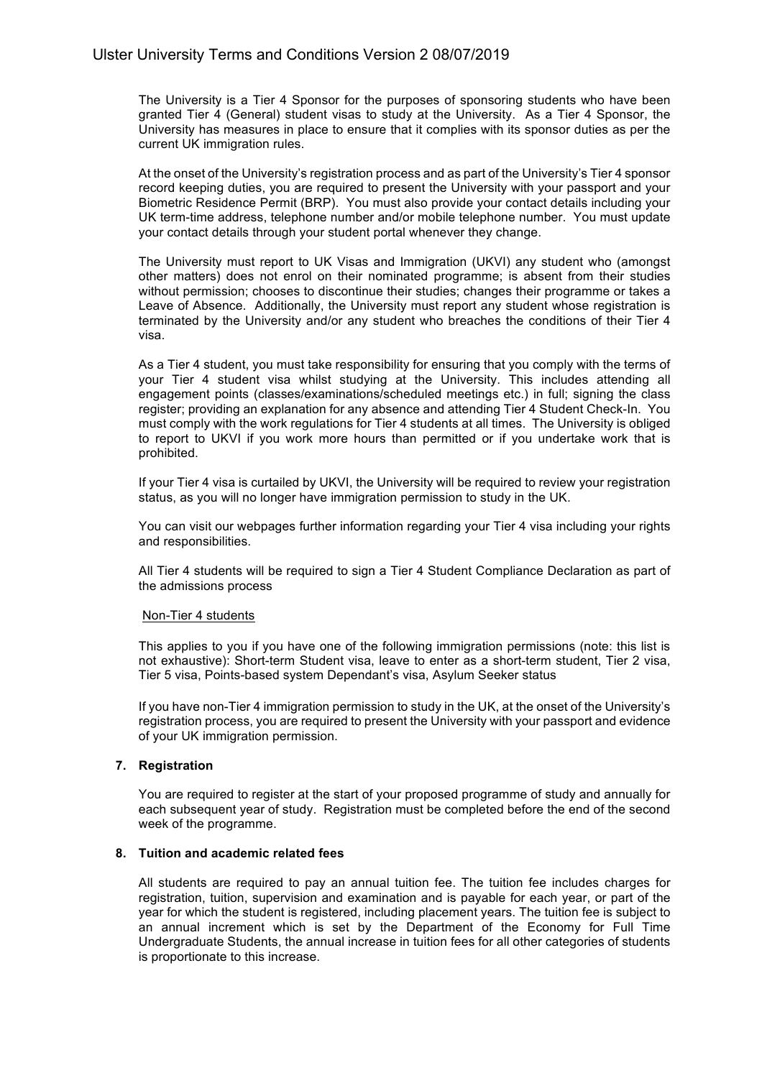The University is a Tier 4 Sponsor for the purposes of sponsoring students who have been granted Tier 4 (General) student visas to study at the University. As a Tier 4 Sponsor, the University has measures in place to ensure that it complies with its sponsor duties as per the current UK immigration rules.

At the onset of the University's registration process and as part of the University's Tier 4 sponsor record keeping duties, you are required to present the University with your passport and your Biometric Residence Permit (BRP). You must also provide your contact details including your UK term-time address, telephone number and/or mobile telephone number. You must update your contact details through your student portal whenever they change.

The University must report to UK Visas and Immigration (UKVI) any student who (amongst other matters) does not enrol on their nominated programme; is absent from their studies without permission; chooses to discontinue their studies; changes their programme or takes a Leave of Absence. Additionally, the University must report any student whose registration is terminated by the University and/or any student who breaches the conditions of their Tier 4 visa.

As a Tier 4 student, you must take responsibility for ensuring that you comply with the terms of your Tier 4 student visa whilst studying at the University. This includes attending all engagement points (classes/examinations/scheduled meetings etc.) in full; signing the class register; providing an explanation for any absence and attending Tier 4 Student Check-In. You must comply with the work regulations for Tier 4 students at all times. The University is obliged to report to UKVI if you work more hours than permitted or if you undertake work that is prohibited.

If your Tier 4 visa is curtailed by UKVI, the University will be required to review your registration status, as you will no longer have immigration permission to study in the UK.

You can visit our webpages further information regarding your Tier 4 visa including your rights and responsibilities.

All Tier 4 students will be required to sign a Tier 4 Student Compliance Declaration as part of the admissions process

### Non-Tier 4 students

This applies to you if you have one of the following immigration permissions (note: this list is not exhaustive): Short-term Student visa, leave to enter as a short-term student, Tier 2 visa, Tier 5 visa, Points-based system Dependant's visa, Asylum Seeker status

If you have non-Tier 4 immigration permission to study in the UK, at the onset of the University's registration process, you are required to present the University with your passport and evidence of your UK immigration permission.

### **7. Registration**

You are required to register at the start of your proposed programme of study and annually for each subsequent year of study. Registration must be completed before the end of the second week of the programme.

### **8. Tuition and academic related fees**

All students are required to pay an annual tuition fee. The tuition fee includes charges for registration, tuition, supervision and examination and is payable for each year, or part of the year for which the student is registered, including placement years. The tuition fee is subject to an annual increment which is set by the Department of the Economy for Full Time Undergraduate Students, the annual increase in tuition fees for all other categories of students is proportionate to this increase.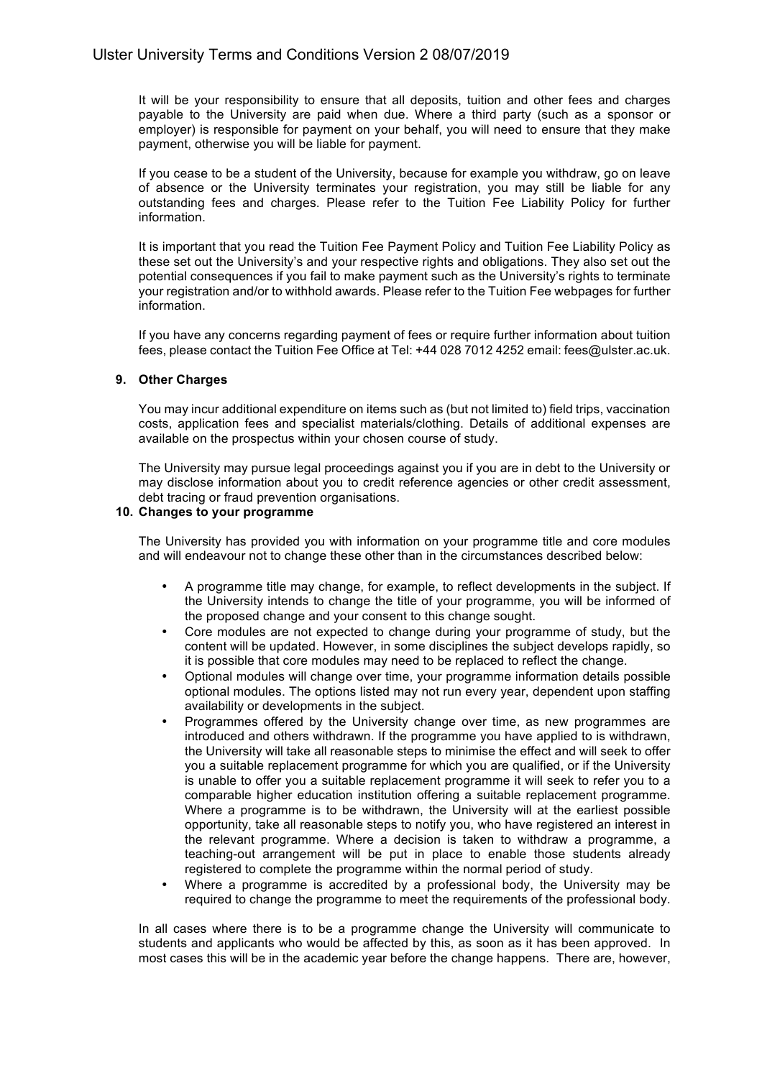It will be your responsibility to ensure that all deposits, tuition and other fees and charges payable to the University are paid when due. Where a third party (such as a sponsor or employer) is responsible for payment on your behalf, you will need to ensure that they make payment, otherwise you will be liable for payment.

If you cease to be a student of the University, because for example you withdraw, go on leave of absence or the University terminates your registration, you may still be liable for any outstanding fees and charges. Please refer to the Tuition Fee Liability Policy for further information.

It is important that you read the Tuition Fee Payment Policy and Tuition Fee Liability Policy as these set out the University's and your respective rights and obligations. They also set out the potential consequences if you fail to make payment such as the University's rights to terminate your registration and/or to withhold awards. Please refer to the Tuition Fee webpages for further information.

If you have any concerns regarding payment of fees or require further information about tuition fees, please contact the Tuition Fee Office at Tel: +44 028 7012 4252 email: fees@ulster.ac.uk.

## **9. Other Charges**

You may incur additional expenditure on items such as (but not limited to) field trips, vaccination costs, application fees and specialist materials/clothing. Details of additional expenses are available on the prospectus within your chosen course of study.

The University may pursue legal proceedings against you if you are in debt to the University or may disclose information about you to credit reference agencies or other credit assessment, debt tracing or fraud prevention organisations.

# **10. Changes to your programme**

The University has provided you with information on your programme title and core modules and will endeavour not to change these other than in the circumstances described below:

- A programme title may change, for example, to reflect developments in the subject. If the University intends to change the title of your programme, you will be informed of the proposed change and your consent to this change sought.
- Core modules are not expected to change during your programme of study, but the content will be updated. However, in some disciplines the subject develops rapidly, so it is possible that core modules may need to be replaced to reflect the change.
- Optional modules will change over time, your programme information details possible optional modules. The options listed may not run every year, dependent upon staffing availability or developments in the subject.
- Programmes offered by the University change over time, as new programmes are introduced and others withdrawn. If the programme you have applied to is withdrawn, the University will take all reasonable steps to minimise the effect and will seek to offer you a suitable replacement programme for which you are qualified, or if the University is unable to offer you a suitable replacement programme it will seek to refer you to a comparable higher education institution offering a suitable replacement programme. Where a programme is to be withdrawn, the University will at the earliest possible opportunity, take all reasonable steps to notify you, who have registered an interest in the relevant programme. Where a decision is taken to withdraw a programme, a teaching-out arrangement will be put in place to enable those students already registered to complete the programme within the normal period of study.
- Where a programme is accredited by a professional body, the University may be required to change the programme to meet the requirements of the professional body.

In all cases where there is to be a programme change the University will communicate to students and applicants who would be affected by this, as soon as it has been approved. In most cases this will be in the academic year before the change happens. There are, however,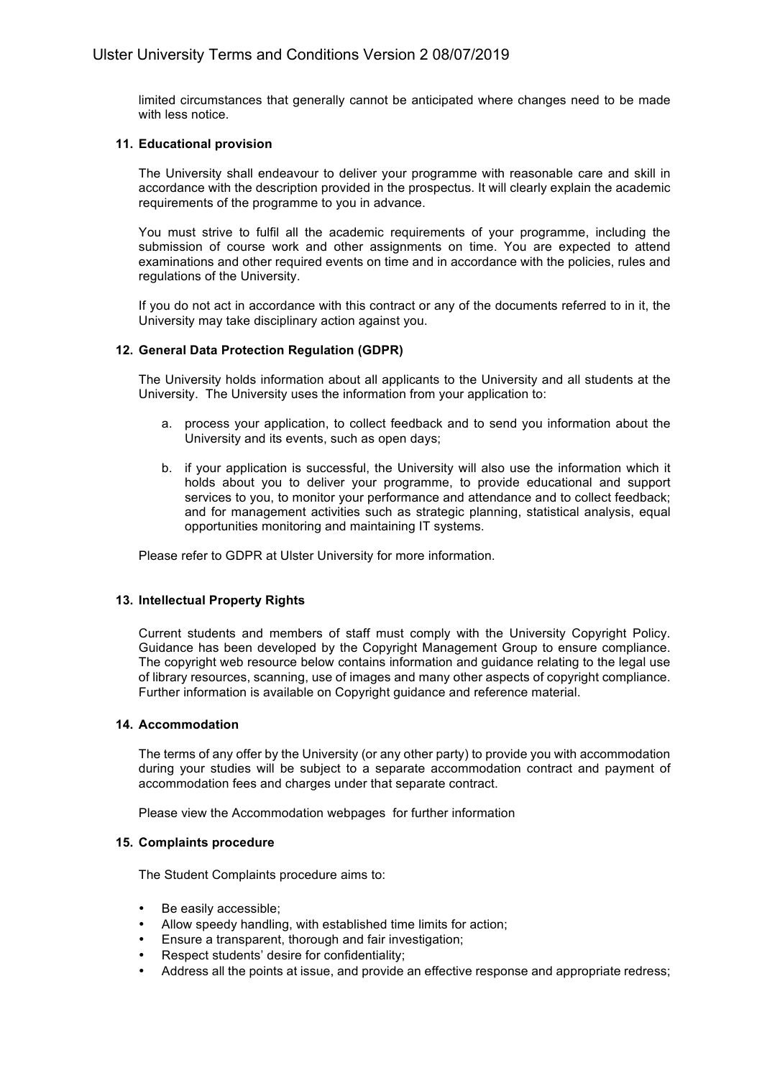limited circumstances that generally cannot be anticipated where changes need to be made with less notice.

## **11. Educational provision**

The University shall endeavour to deliver your programme with reasonable care and skill in accordance with the description provided in the prospectus. It will clearly explain the academic requirements of the programme to you in advance.

You must strive to fulfil all the academic requirements of your programme, including the submission of course work and other assignments on time. You are expected to attend examinations and other required events on time and in accordance with the policies, rules and regulations of the University.

If you do not act in accordance with this contract or any of the documents referred to in it, the University may take disciplinary action against you.

## **12. General Data Protection Regulation (GDPR)**

The University holds information about all applicants to the University and all students at the University. The University uses the information from your application to:

- a. process your application, to collect feedback and to send you information about the University and its events, such as open days;
- b. if your application is successful, the University will also use the information which it holds about you to deliver your programme, to provide educational and support services to you, to monitor your performance and attendance and to collect feedback; and for management activities such as strategic planning, statistical analysis, equal opportunities monitoring and maintaining IT systems.

Please refer to GDPR at Ulster University for more information.

# **13. Intellectual Property Rights**

Current students and members of staff must comply with the University Copyright Policy. Guidance has been developed by the Copyright Management Group to ensure compliance. The copyright web resource below contains information and guidance relating to the legal use of library resources, scanning, use of images and many other aspects of copyright compliance. Further information is available on Copyright guidance and reference material.

## **14. Accommodation**

The terms of any offer by the University (or any other party) to provide you with accommodation during your studies will be subject to a separate accommodation contract and payment of accommodation fees and charges under that separate contract.

Please view the Accommodation webpages for further information

## **15. Complaints procedure**

The Student Complaints procedure aims to:

- Be easily accessible;
- Allow speedy handling, with established time limits for action;
- Ensure a transparent, thorough and fair investigation;
- Respect students' desire for confidentiality;
- Address all the points at issue, and provide an effective response and appropriate redress;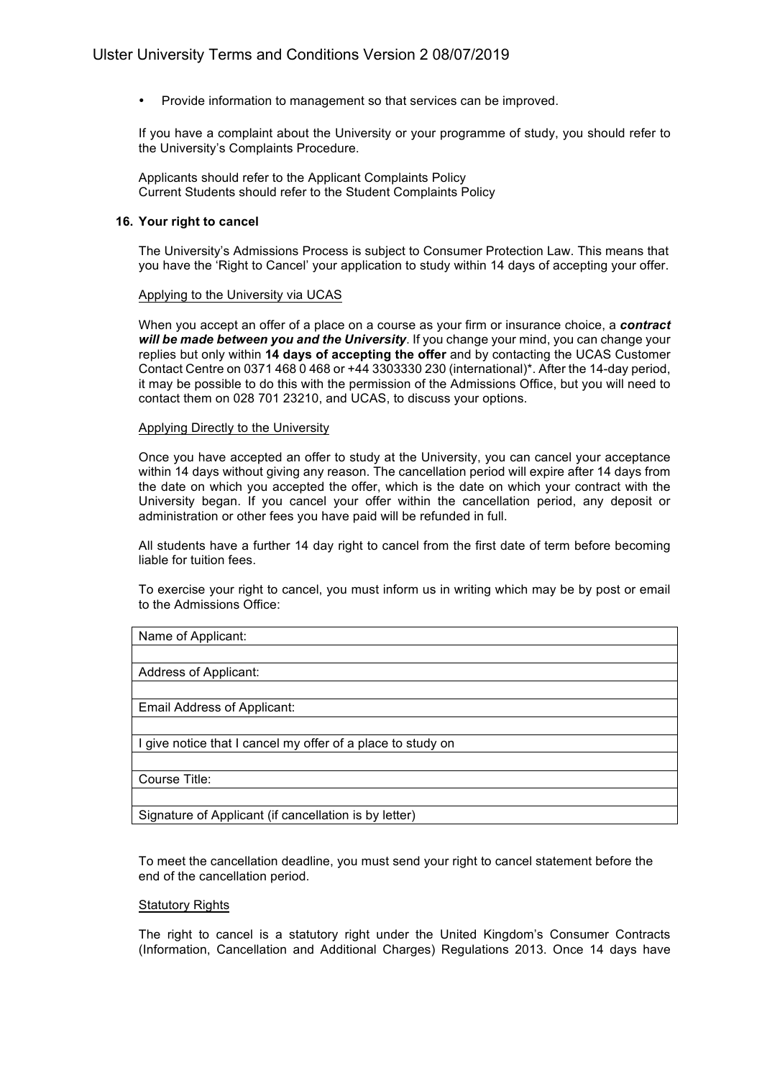• Provide information to management so that services can be improved.

If you have a complaint about the University or your programme of study, you should refer to the University's Complaints Procedure.

Applicants should refer to the Applicant Complaints Policy Current Students should refer to the Student Complaints Policy

### **16. Your right to cancel**

The University's Admissions Process is subject to Consumer Protection Law. This means that you have the 'Right to Cancel' your application to study within 14 days of accepting your offer.

#### Applying to the University via UCAS

When you accept an offer of a place on a course as your firm or insurance choice, a *contract will be made between you and the University*. If you change your mind, you can change your replies but only within **14 days of accepting the offer** and by contacting the UCAS Customer Contact Centre on 0371 468 0 468 or +44 3303330 230 (international)\*. After the 14-day period, it may be possible to do this with the permission of the Admissions Office, but you will need to contact them on 028 701 23210, and UCAS, to discuss your options.

#### Applying Directly to the University

Once you have accepted an offer to study at the University, you can cancel your acceptance within 14 days without giving any reason. The cancellation period will expire after 14 days from the date on which you accepted the offer, which is the date on which your contract with the University began. If you cancel your offer within the cancellation period, any deposit or administration or other fees you have paid will be refunded in full.

All students have a further 14 day right to cancel from the first date of term before becoming liable for tuition fees.

To exercise your right to cancel, you must inform us in writing which may be by post or email to the Admissions Office:

## Name of Applicant:

## Address of Applicant:

Email Address of Applicant:

I give notice that I cancel my offer of a place to study on

Course Title:

Signature of Applicant (if cancellation is by letter)

To meet the cancellation deadline, you must send your right to cancel statement before the end of the cancellation period.

#### **Statutory Rights**

The right to cancel is a statutory right under the United Kingdom's Consumer Contracts (Information, Cancellation and Additional Charges) Regulations 2013. Once 14 days have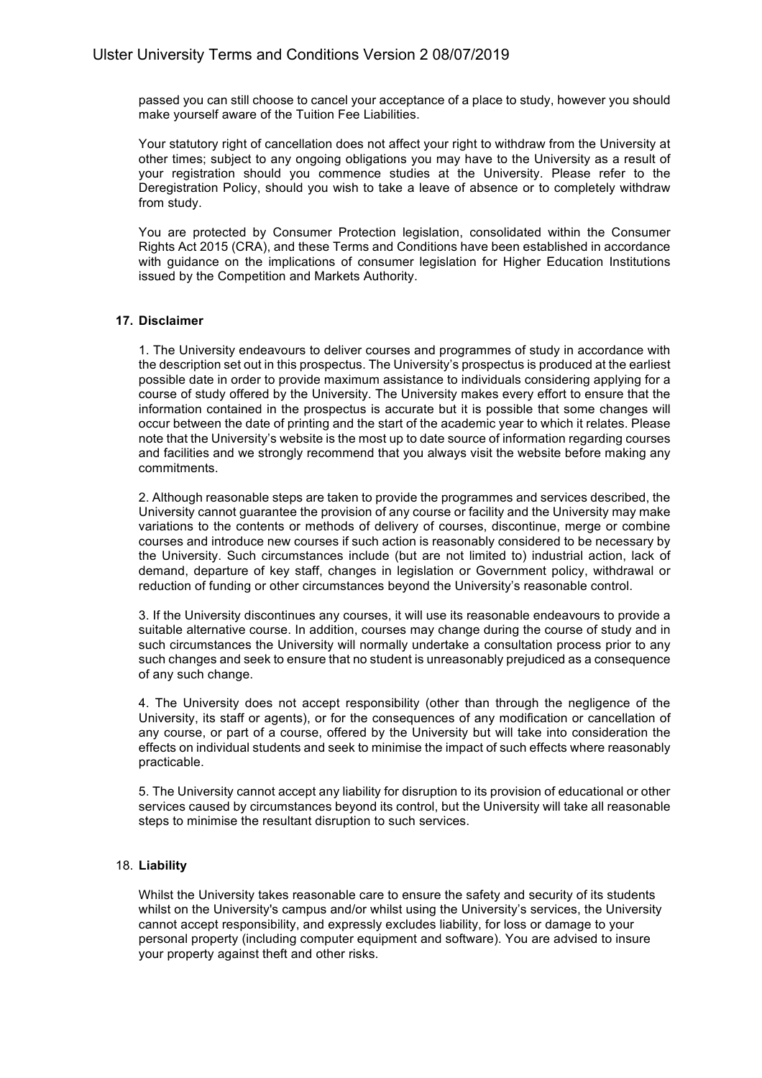passed you can still choose to cancel your acceptance of a place to study, however you should make yourself aware of the Tuition Fee Liabilities.

Your statutory right of cancellation does not affect your right to withdraw from the University at other times; subject to any ongoing obligations you may have to the University as a result of your registration should you commence studies at the University. Please refer to the Deregistration Policy, should you wish to take a leave of absence or to completely withdraw from study.

You are protected by Consumer Protection legislation, consolidated within the Consumer Rights Act 2015 (CRA), and these Terms and Conditions have been established in accordance with guidance on the implications of consumer legislation for Higher Education Institutions issued by the Competition and Markets Authority.

## **17. Disclaimer**

1. The University endeavours to deliver courses and programmes of study in accordance with the description set out in this prospectus. The University's prospectus is produced at the earliest possible date in order to provide maximum assistance to individuals considering applying for a course of study offered by the University. The University makes every effort to ensure that the information contained in the prospectus is accurate but it is possible that some changes will occur between the date of printing and the start of the academic year to which it relates. Please note that the University's website is the most up to date source of information regarding courses and facilities and we strongly recommend that you always visit the website before making any commitments.

2. Although reasonable steps are taken to provide the programmes and services described, the University cannot guarantee the provision of any course or facility and the University may make variations to the contents or methods of delivery of courses, discontinue, merge or combine courses and introduce new courses if such action is reasonably considered to be necessary by the University. Such circumstances include (but are not limited to) industrial action, lack of demand, departure of key staff, changes in legislation or Government policy, withdrawal or reduction of funding or other circumstances beyond the University's reasonable control.

3. If the University discontinues any courses, it will use its reasonable endeavours to provide a suitable alternative course. In addition, courses may change during the course of study and in such circumstances the University will normally undertake a consultation process prior to any such changes and seek to ensure that no student is unreasonably prejudiced as a consequence of any such change.

4. The University does not accept responsibility (other than through the negligence of the University, its staff or agents), or for the consequences of any modification or cancellation of any course, or part of a course, offered by the University but will take into consideration the effects on individual students and seek to minimise the impact of such effects where reasonably practicable.

5. The University cannot accept any liability for disruption to its provision of educational or other services caused by circumstances beyond its control, but the University will take all reasonable steps to minimise the resultant disruption to such services.

### 18. **Liability**

Whilst the University takes reasonable care to ensure the safety and security of its students whilst on the University's campus and/or whilst using the University's services, the University cannot accept responsibility, and expressly excludes liability, for loss or damage to your personal property (including computer equipment and software). You are advised to insure your property against theft and other risks.